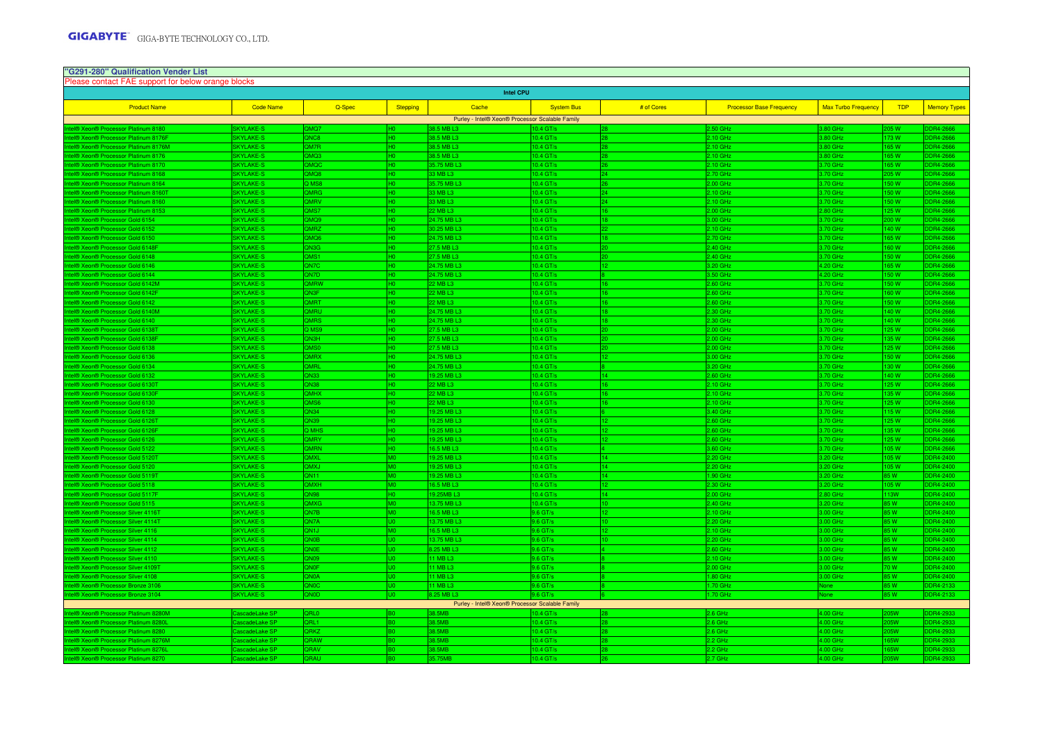| "G291-280" Qualification Vender List<br>Please contact FAE support for below orange blocks |                  |                  |                 |                                                 |                      |            |                                 |                            |                |                     |  |  |  |
|--------------------------------------------------------------------------------------------|------------------|------------------|-----------------|-------------------------------------------------|----------------------|------------|---------------------------------|----------------------------|----------------|---------------------|--|--|--|
| <b>Intel CPU</b>                                                                           |                  |                  |                 |                                                 |                      |            |                                 |                            |                |                     |  |  |  |
| <b>Product Name</b>                                                                        | <b>Code Name</b> | Q-Spec           | <b>Stepping</b> | Cache                                           | <b>System Bus</b>    | # of Cores | <b>Processor Base Frequency</b> | <b>Max Turbo Frequency</b> | <b>TDP</b>     | <b>Memory Types</b> |  |  |  |
| Purley - Intel® Xeon® Processor Scalable Family                                            |                  |                  |                 |                                                 |                      |            |                                 |                            |                |                     |  |  |  |
| el® Xeon® Processor Platinum 8180                                                          | <b>SKYLAKE-S</b> | OMQ.             |                 | 38.5 MB L3                                      | $0.4$ GT/s           |            | 2.50 GHz                        | 3.80 GHz                   | 05 W           | DR4-2666            |  |  |  |
| <b>ID Xeon® Processor Platinum 8176F</b>                                                   | <b>SKYLAKE-S</b> | QNC8             |                 | 38.5 MB L3                                      | 0.4 <sub>G</sub> T/s |            | $2.10$ GHz                      | 3.80 GHz                   | 73W            | DR4-2666            |  |  |  |
| el® Xeon® Processor Platinum 8176M                                                         | SKYLAKE-S        | QM7R             | HO              | 38.5 MB L3                                      | 10.4 GT/s            | 28         | 2.10 GHz                        | 3.80 GHz                   | 65 W           | DR4-2666            |  |  |  |
| 18 Xeon® Processor Platinum 8176                                                           | <b>SKYLAKE-S</b> | <b>DMQ3</b>      | Iно             | 38.5 MB L3                                      | 0.4 GT/s             | 28         | $2.10$ GHz                      | 3.80 GHz                   | 65W            | DR4-2666            |  |  |  |
| <b>I® Xeon® Processor Platinum 8170</b>                                                    | SKYLAKE-S        | OMO              |                 | 35.75 MB L3                                     | 10.4 GT/s            |            | 2.10 GHz                        | 3.70 GHz                   | 65W            | DR4-2666            |  |  |  |
| el® Xeon® Processor Platinum 8168                                                          | <b>SKYLAKE-S</b> | BOM <sup>C</sup> |                 | 3 MB L3                                         | 0.4 <sub>G</sub> T/s | 24         | 2.70 GHz                        | 3.70 GHz                   | 05W            | DR4-2666            |  |  |  |
| <b>I® Xeon® Processor Platinum 8164</b>                                                    | SKYLAKE-S        | MS8              |                 | 5.75 MB L3                                      | $0.4$ GT/s           |            | $.00$ GHz                       | 3.70 GHz                   | 50 W           | DR4-2666            |  |  |  |
| <b>I® Xeon® Processor Platinum 8160T</b>                                                   | <b>SKYLAKE-S</b> | <b>DMRG</b>      |                 | 3 MB L3                                         | $0.4$ GT/s           | 24         | $2.10$ GHz                      | 3.70 GHz                   | 50 W           | DR4-2666            |  |  |  |
| el® Xeon® Processor Platinum 8160                                                          | <b>SKYLAKE-S</b> | <b>MRV</b>       | HO.             | 3 MB L3                                         | 10.4 GT/s            | 24         | 2.10 GHz                        | 3.70 GHz                   | 50 W           | DR4-2666            |  |  |  |
| el® Xeon® Processor Platinum 8153                                                          | <b>SKYLAKE-S</b> | <b>MS7</b>       | 40              | 2 MB L3                                         | 0.4 <sub>GT/s</sub>  | 16         | $.00$ GHz                       | 2.80 GHz                   | 25 W           | DR4-2666            |  |  |  |
| l® Xeon® Processor Gold 6154                                                               | <b>SKYLAKE-S</b> | <b>POMC</b>      | H <sub>0</sub>  | 4.75 MB L3                                      | 10.4 GT/s            | 18         | 3.00 GHz                        | 3.70 GHz                   | 00W            | DR4-2666            |  |  |  |
| <b>ID Xeon® Processor Gold 6152</b>                                                        | <b>SKYLAKE-S</b> | <b>MRZ</b>       | H <sub>0</sub>  | 0.25 MB L3                                      | $0.4$ GT/s           |            | 2.10 GHz                        | 3.70 GHz                   | 140W           | DR4-2666            |  |  |  |
| el® Xeon® Processor Gold 6150                                                              | <b>SKYLAKE-S</b> | <b>BOMC</b>      | HO.             | 24.75 MB L3                                     | 0.4 <sub>G</sub> T/s | 18         | $2.70$ GHz                      | 3.70 GHz                   | 65W            | DR4-2666            |  |  |  |
| <b>I® Xeon® Processor Gold 6148F</b>                                                       | <b>SKYLAKE-S</b> | <b>DRIG</b>      |                 | 27.5 MB L3                                      | $0.4$ GT/s           |            | 2.40 GHz                        | 3.70 GHz                   | 60 W           | DR4-2666            |  |  |  |
| <b>I® Xeon® Processor Gold 6148</b>                                                        | <b>SKYLAKE-S</b> | MST              |                 | 7.5 MB L3                                       | $0.4$ GT/s           | 20         | 2.40 GHz                        | 3.70 GHz                   | 50 W           | DR4-2666            |  |  |  |
| el® Xeon® Processor Gold 6146                                                              | <b>SKYLAKE-S</b> | <b>N7C</b>       |                 | 24.75 MB L3                                     | 10.4 GT/s            |            | 3.20 GHz                        | 4.20 GHz                   | 65 W           | DR4-2666            |  |  |  |
| el® Xeon® Processor Gold 6144                                                              | <b>SKYLAKE-S</b> | <b>ONTO</b>      |                 | 24.75 MB L3                                     | 0.4 GT/s             |            | 3.50 GHz                        | 4.20 GHz                   | 50W            | DR4-2666            |  |  |  |
| el® Xeon® Processor Gold 6142M                                                             | SKYLAKE-S        | <b>MRW</b>       | H <sub>0</sub>  | 22 MB L3                                        | 10.4 GT/s            | 16         | 2.60 GHz                        | 3.70 GHz                   | 50 W           | DR4-2666            |  |  |  |
| el® Xeon® Processor Gold 6142F                                                             | <b>SKYLAKE-S</b> | <b>ON3F</b>      | HΩ              | 2 MB L3                                         | 0.4 GT/s             | 16         | $2.60$ GHz                      | 3.70 GHz                   | 60W            | DR4-2666            |  |  |  |
| el® Xeon® Processor Gold 6142                                                              | <b>SKYLAKE-S</b> | <b>MRT</b>       | H <sub>0</sub>  | 2 MB L3                                         | 10.4 GT/s            | 16         | 2.60 GHz                        | 3.70 GHz                   | 50 W           | DR4-2666            |  |  |  |
| el® Xeon® Processor Gold 6140M                                                             | <b>SKYLAKE-S</b> | <b>DMRU</b>      |                 | 24.75 MB L3                                     | $0.4$ GT/s           | 18         | $2.30$ GHz                      | 3.70 GHz                   | 40 W           | DR4-2666            |  |  |  |
| <b>ID Xeon® Processor Gold 6140</b>                                                        | SKYLAKE-S        | <b>OMRS</b>      | H <sub>0</sub>  | 24.75 MB L3                                     | 10.4 GT/s            | 18         | 2.30 GHz                        | 3.70 GHz                   | 40 W           | DR4-2666            |  |  |  |
| el® Xeon® Processor Gold 6138T                                                             | SKYLAKE-S        | 0.089            | HΩ              | 27.5 MB L3                                      | 10.4 GT/s            |            | $2.00$ GHz                      | 3.70 GHz                   | 25 W           | DR4-2666            |  |  |  |
| el® Xeon® Processor Gold 6138F                                                             | SKYLAKE-S        | QN3H             |                 | 27.5 MB L3                                      | 0.4 <sub>G</sub> T/s | 20         | $2.00$ GHz                      | 3.70 GHz                   | 35W            | DR4-2666            |  |  |  |
| el® Xeon® Processor Gold 6138                                                              | SKYLAKE-S        | <b>DMSO</b>      | нo              | 27.5 MB L3                                      | 10.4 GT/s            | 20         | 2.00 GHz                        | 3.70 GHz                   | 25 W           | DR4-2666            |  |  |  |
| l <sup>®</sup> Xeon <sup>®</sup> Processor Gold 6136                                       | SKYLAKE-S        | <b>MRX</b>       |                 | 24.75 MB L3                                     | 10.4 GT/s            |            | 3.00 GHz                        | 3.70 GHz                   | 50 W           | DR4-2666            |  |  |  |
| el® Xeon® Processor Gold 6134                                                              | <b>SKYLAKE-S</b> | <b>MRL</b>       |                 | 24.75 MB L3                                     | 0.4 GT/s             |            | 3.20 GHz                        | 3.70 GHz                   | 30 W           | DR4-2666            |  |  |  |
| el® Xeon® Processor Gold 6132                                                              | <b>SKYLAKE-S</b> | ON33             |                 | 19.25 MB L3                                     | 0.4 <sub>G</sub> T/s | 14         | 2.60 GHz                        | 3.70 GHz                   | 40 W           | DR4-2666            |  |  |  |
| <b>ID Xeon® Processor Gold 61301</b>                                                       | <b>SKYLAKE-S</b> | <b>ON38</b>      |                 | 2 MB L3                                         | $0.4$ GT/s           |            | $2.10$ GHz                      | 3.70 GHz                   | 25W            | DR4-2666            |  |  |  |
| el® Xeon® Processor Gold 6130F                                                             | <b>SKYLAKE-S</b> | <b>MAHY</b>      | H <sub>0</sub>  | 2 MB L3                                         | 10.4 GT/s            | 16         | $2.10$ GHz                      | 3.70 GHz                   | 35 W           | DR4-2666            |  |  |  |
| el® Xeon® Processor Gold 6130                                                              | SKYLAKE-S        | <b>MS6</b>       | H <sub>0</sub>  | 2 MB L3                                         | 10.4 GT/s            | 16         | 2.10 GHz                        | 3.70 GHz                   | 25W            | DR4-2666            |  |  |  |
| el® Xeon® Processor Gold 6128                                                              | SKYLAKE-S        | QN34             | H <sub>0</sub>  | 9.25 MB L3                                      | 10.4 GT/s            |            | 3.40 GHz                        | 3.70 GHz                   | 115 W          | DR4-2666            |  |  |  |
| <b>I® Xeon® Processor Gold 6126T</b>                                                       | SKYLAKE-S        | QN39             | Iно             | 9.25 MB L3                                      | 10.4 GT/s            | 12         | 2.60 GHz                        | 3.70 GHz                   | 25W            | DR4-2666            |  |  |  |
| el® Xeon® Processor Gold 6126F                                                             | <b>SKYLAKE-S</b> | Q MHS            | нo              | 9.25 MB L3                                      | 10.4 GT/s            |            | 2.60 GHz                        | 3.70 GHz                   | 135 W          | DR4-2666            |  |  |  |
| el® Xeon® Processor Gold 6126                                                              | <b>SKYLAKE-S</b> | <b>DMRY</b>      | lun             | 19.25 MB L3                                     | 0.4 <sub>G</sub> T/s | 12         | $2.60$ GHz                      | 3.70 GHz                   | 25W            | DR4-2666            |  |  |  |
| l <sup>®</sup> Xeon <sup>®</sup> Processor Gold 5122                                       | SKYLAKE-S        | <b>MRN</b>       |                 | 6.5 MB L3                                       | $0.4$ GT/s           |            | 3.60 GHz                        | 3.70 GHz                   | )5 W           | DR4-2666            |  |  |  |
| <b>ID Xeon® Processor Gold 5120T</b>                                                       | <b>SKYLAKE-S</b> | <b>MXL</b>       | <b>MO</b>       | 9.25 MB L3                                      | 0.4 <sub>G</sub> T/s | 14         | $2.20$ GHz                      | 3.20 GHz                   | 05 W           | DR4-2400            |  |  |  |
| el® Xeon® Processor Gold 5120                                                              | <b>SKYLAKE-S</b> | <b>LXMC</b>      |                 | 9.25 MB L3                                      | $0.4$ GT/s           | 14         | 20 GHz                          | 3.20 GHz                   | 05 W           | DR4-2400            |  |  |  |
| el® Xeon® Processor Gold 5119T                                                             | <b>KYLAKE-S</b>  | N11              | <b>IMO</b>      | 9.25 MB L3                                      | 0.4 GT/s             | 14         | .90 GHz                         | 3.20 GHz                   | 35 W           | DR4-2400            |  |  |  |
| <b>I® Xeon® Processor Gold 5118</b>                                                        | <b>SKYLAKE-S</b> | <b>HXM</b>       | MO              | 6.5 MB L3                                       | 10.4 GT/s            |            | 2.30 GHz                        | 3.20 GHz                   | 05 W           | DR4-2400            |  |  |  |
| <b>ID Xeon® Processor Gold 5117F</b>                                                       | <b>SKYLAKE-S</b> | 2N98             |                 | 9.25MB L3                                       | 10.4 GT/s            | 14         | $2.00$ GHz                      | 2.80 GHz                   | <b>13W</b>     | DR4-2400            |  |  |  |
| el® Xeon® Processor Gold 5115                                                              | <b>SKYLAKE-S</b> | <b>MXG</b>       | <b>MO</b>       | 3.75 MB L3                                      | 0.4 GT/s             | 10         | 2.40 GHz                        | 3.20 GHz                   | 85 W           | DR4-2400            |  |  |  |
| <b>ID Xeon® Processor Silver 4116T</b>                                                     | <b>SKYLAKE-S</b> | <b>N7B</b>       | <b>MO</b>       | 6.5 MB L3                                       | .6 GT/s              |            | $2.10$ GHz                      | 3.00 GHz                   | 35 W           | DR4-2400            |  |  |  |
| <b>ID Xeon® Processor Silver 4114T</b>                                                     | <b>SKYLAKE-S</b> | QN7A             |                 | 3.75 MB L3                                      | $9.6$ GT/s           | 10         | 2.20 GHz                        | 3.00 GHz                   | 35 W           | DR4-2400            |  |  |  |
| <b>ID Xeon® Processor Silver 4116</b>                                                      | SKYLAKE-S        | <b>UNC</b>       | MO              | 6.5 MB L3                                       | $9.6$ GT/s           |            | 2.10 GHz                        | 3.00 GHz                   | 85 W           | DR4-2400            |  |  |  |
| el® Xeon® Processor Silver 4114                                                            | <b>SKYLAKE-S</b> | <b>BONC</b>      |                 | 3.75 MB L3                                      | 9.6 GT/s             |            | 2.20 GHz                        | 3.00 GHz                   | 85 W           | DR4-2400            |  |  |  |
| el® Xeon® Processor Silver 4112                                                            | SKYLAKE-S        | <b>NOE</b>       | UO              | 8.25 MB L3                                      | $9.6$ GT/s           |            | 2.60 GHz                        | 3.00 GHz                   | 85 W           | DR4-2400            |  |  |  |
| <b>I<sup>®</sup> Xeon<sup>®</sup> Processor Silver 4110</b>                                | SKYLAKE-S        | ON09             |                 | 1 MB L3                                         | $9.6$ GT/s           |            | $2.10$ GHz                      | 3.00 GHz                   | 85 W           | DR4-2400            |  |  |  |
| el® Xeon® Processor Silver 4109T                                                           | <b>SKYLAKE-S</b> | QNOF             |                 | 1 MB L3                                         | $9.6$ GT/s           |            | .00 GHz                         | 3.00 GHz                   | 70 W           | DR4-2400            |  |  |  |
| al® Xeon® Processor Silver 4108                                                            | <b>KYLAKE-S</b>  | <b>AONC</b>      |                 | 1 MB 13                                         | $9.6$ GT/s           |            | .80 GHz                         | .00 <sub>GHz</sub>         | 35 W           | DR4-2400            |  |  |  |
| <b>I® Xeon® Processor Bronze 3106</b>                                                      | SKYLAKE-S        | <b>QNOC</b>      |                 | 11 MB L3                                        | 0.6 GT/s             |            | $1.70$ GHz                      | Vone                       | 85 W           | DR4-2133            |  |  |  |
| el® Xeon® Processor Bronze 3104                                                            | <b>SKYLAKE-S</b> | QNOD             | <b>UO</b>       | 3.25 MB L                                       | .6 GT/s              |            | .70 GHz                         | None                       | 85 W           | DR4-2133            |  |  |  |
|                                                                                            |                  |                  |                 | Purley - Intel® Xeon® Processor Scalable Family |                      |            |                                 |                            |                |                     |  |  |  |
| el® Xeon® Processor Platinum 8280M                                                         | sscadel ake SF   | O IRC            |                 | 8.5MR                                           | ).4 GT/              |            | .6 GHz                          | 4.00 GHz                   | )5W            | DR4-2933            |  |  |  |
| <b>I® Xeon® Processor Platinum 8280</b>                                                    | ascadeLake SP    | ORL1             | BO              | 8.5MB                                           | 10.4 GT/s            | 28         | 2.6 GHz                         | 4.00 GHz                   | 5W             | DR4-2933            |  |  |  |
| el® Xeon® Processor Platinum 8280                                                          | ascadeLake SP    | <b>RKZ</b>       |                 | 8.5MB                                           | 10.4 GT/s            |            | 2.6 GHz                         | 4.00 GHz                   | )5W            | DR4-2933            |  |  |  |
| <b>ID Xeon® Processor Platinum 8276M</b>                                                   | scadeLake SP     | ORAW             |                 | 8.5MB                                           | 0.4 <sub>GT/s</sub>  |            | 2.2 GHz                         | 4.00 GHz                   | 5W             | DR4-2933            |  |  |  |
| <b>I® Xeon® Processor Platinum 8276L</b>                                                   | scadeLake SP     | <b>RAV</b>       |                 | 8.5MB                                           | $0.4$ GT/s           |            | 2.2 GHz                         | 4.00 GHz                   | 5 <sub>W</sub> | DR4-2933            |  |  |  |
| el® Xeon® Processor Platinum 8270                                                          | CascadeLake SP   | <b>JRAU</b>      |                 | 5.75MB                                          | 0.4 GT/s             |            | 2.7 GHz                         | 4.00 GHz                   | <b>5W</b>      | DR4-2933            |  |  |  |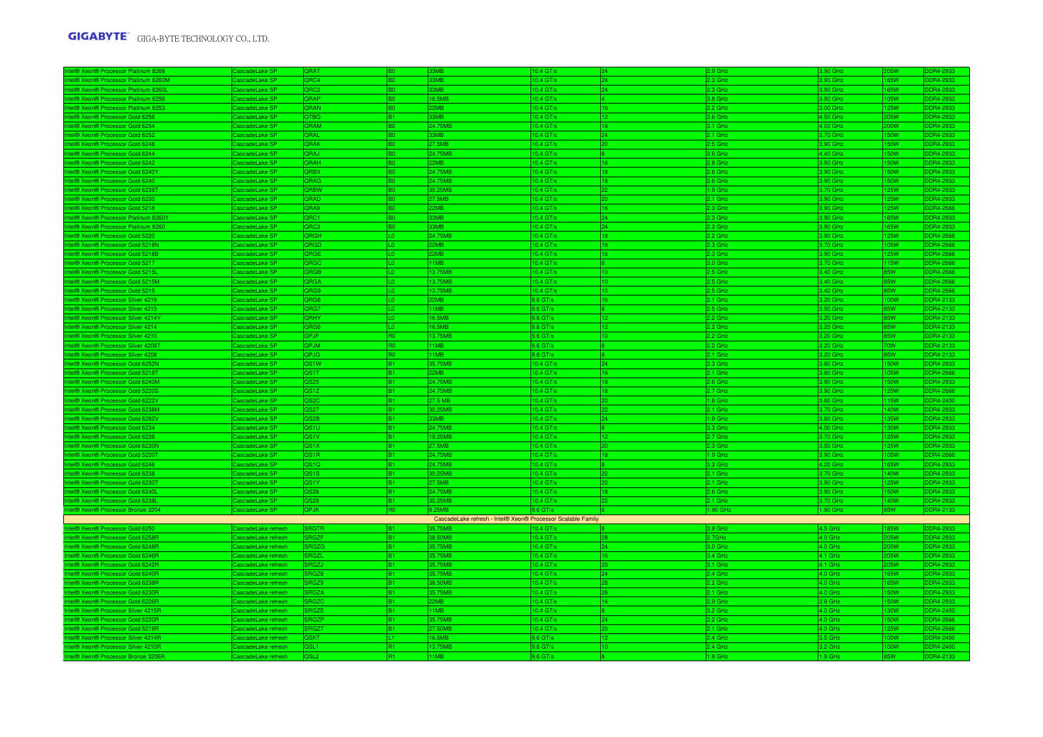| <b>8268 Xeon® Processor Platinum 8268</b>                                              | ascadeLake SF                   | ORAT                      |                | 3M <sub>R</sub>                                              | $0.4$ GT/s             |                 | 2 9 GHz              | 3.90 GHz             |                    | DR4-2933             |
|----------------------------------------------------------------------------------------|---------------------------------|---------------------------|----------------|--------------------------------------------------------------|------------------------|-----------------|----------------------|----------------------|--------------------|----------------------|
| el® Xeon® Processor Platinum 8260M                                                     | ascadeLake SP                   | QRC4                      |                | 3MB                                                          | 10.4 GT/s              | 24              | 2.3 GHz              | 3.90 GHz             | 65W                | DR4-2933             |
| <b>I® Xeon® Processor Platinum 8260I</b>                                               | ascadeLake SP                   | <b>ORC2</b>               |                | 3MB                                                          | 0.4 <sub>GT</sub>      | 24              | 2.3 GHz              | 3.90 GHz             | <b>SSW</b>         | R4-2933              |
| el® Xeon® Processor Platinum 8256                                                      | ascadeLake SP                   | ORAP                      | R∩             | 6.5MB                                                        | 10.4 GT/s              |                 | 3.8 GHz              | 3.90 GHz             | <b>ISW</b>         | DR4-2933             |
| <b>BI® Xeon® Processor Platinum 8253</b>                                               | ascadeLake SP                   | QRAN                      | BO.            | 2MB                                                          | 10.4 GT/s              | 16              | 2.2 GHz              | 3.00 GHz             | 25W                | DR4-2933             |
| <b>BIO Xeon® Processor Gold 6256</b>                                                   | ascadel ake SP                  | <b>QTBQ</b>               | R1             | 3MB                                                          | 10.4 GT/s              | 12              | 3.6 GHz              | 4.50 GHz             | <b>ISW</b>         | DR4-2933             |
| el® Xeon® Processor Gold 6254                                                          | ascadeLake SP                   | QRAM                      | B0             | 24.75MB                                                      | 10.4 GT/s              | 18              | 3.1 GHz              | 4.00 GHz             | 10W                | DR4-2933             |
| el® Xeon® Processor Gold 6252                                                          | ascadeLake SP                   | ORAI                      | B0             | 3MB                                                          | 10.4 GT/s              | 24              | 2.1 GHz              | 3.70 GHz             | 50W                | DR4-2933             |
| el® Xeon® Processor Gold 6248                                                          | CascadeLake SP                  | <b>QRAK</b>               | B <sub>0</sub> | 27.5MB                                                       | 10.4 GT/s              | l20 -           | 2.5 GHz              | 3.90 GHz             | 50W                | DR4-2933             |
| tel® Xeon® Processor Gold 6244                                                         | CascadeLake SP                  | QRAJ                      | BO.            | 24.75MB                                                      | 10.4 GT/s              |                 | 3.6 GHz              | 4.40 GHz             | 50W                | DR4-2933             |
| <b>I® Xeon® Processor Gold 6242</b>                                                    | ascadeLake SP                   | <b>ORAH</b>               |                | 22MB                                                         | 10.4 GT/s              | 16              | 2.8 GHz              | 3.90 GHz             | 50W                | DR4-2933             |
| <b>ID Xeon® Processor Gold 6240Y</b>                                                   | ascadeLake SP                   | <b>ORBX</b>               | BO.            | 24.75MB                                                      | 10.4 GT/s              | 18              | 2.6 GHz              | 3.90 GHz             | 50W                | DR4-2933             |
| al® Xeon® Processor Gold 6240                                                          | ascadel ake SF                  | <b>DRAG</b>               |                | 24.75MB                                                      | $10.4$ GT/s            | 18              | 2.6 GHz              | 3.90 GHz             | รักพ               | DR4-2933             |
| <b>BI® Xeon® Processor Gold 62381</b>                                                  | ascadeLake SP                   | QRBW                      |                | 80.25MB                                                      | 10.4 GT/s              | 22              | .9 GHz               | 3.70 GHz             | 25W                | DR4-2933             |
| el® Xeon® Processor Gold 6230                                                          | ascadeLake SP                   | ORAD                      | B0             | <b>75MR</b>                                                  | 10.4 GT/s              | 20              | 2.1 GHz              | 3.90 GHz             | <b>25W</b>         | DR4-2933             |
| <b>BIO XeonO Processor Gold 5218</b>                                                   | ascadeLake SP                   | QRA9                      | R∩             | 2MB                                                          | 10.4 GT/s              | 16              | 2.3 GHz              | 3.90 GHz             | 25W                | DR4-2666             |
| el® Xeon® Processor Platinum 8260Y                                                     | ascadeLake SP                   | QRC1                      | BÒ.            | 33MB                                                         | 10.4 GT/s              | 24              | 2.3 GHz              | 3.90 GHz             | 65W                | DR4-2933             |
| el® Xeon® Processor Platinum 8260                                                      | ascadeLake SP                   | ORC3                      | R٨             | 3MR                                                          | 10.4 GT/s              | 24              | 2.3 GHz              | 3.90 GHz             | 65W                | DR4-2933             |
| <b>BI® Xeon® Processor Gold 5220</b>                                                   | ascadeLake SP                   | QRGH                      |                | 24.75MB                                                      | 10.4 GT/s              | 18              | 2.2 GHz              | 3.90 GHz             | 25W                | DR4-2666             |
| el® Xeon® Processor Gold 5218N                                                         | ascadeLake SP                   | QRGD                      |                | 2MB<br>2MB                                                   | 10.4 GT/s              | 16              | 2.3 GHz              | 3.70 GHz             | 05W                | DR4-2666<br>DR4-2666 |
| <b>I® Xeon® Processor Gold 5218B</b>                                                   | ascadeLake SP                   | ORGE                      | LO.            |                                                              | 10.4 GT/s              | 16              | 2.3 GHz              | 3.90 GHz             | <b>25W</b>         |                      |
| l <sup>®</sup> Xeon <sup>®</sup> Processor Gold 5217<br>el® Xeon® Processor Gold 5215L | ascadeLake SP<br>ascadeLake SP  | <b>RGC</b><br><b>ORGB</b> |                | 1MB<br>3.75MB                                                | 10.4 GT/s<br>10.4 GT/s | 10              | 3.0 GHz<br>$2.5$ GHz | 3.70 GHz<br>3.40 GHz | 115W<br><b>ISW</b> | DR4-2666<br>DR4-2666 |
|                                                                                        |                                 | <b>RGA</b>                |                | 3.75MB                                                       | 0.4 GT/s               |                 |                      | 3.40 GHz             | 5W                 | DR4-2666             |
| el® Xeon® Processor Gold 5215M                                                         | ascadeLake SP                   |                           | ۱n.            |                                                              |                        |                 | 2.5 GHz              |                      |                    |                      |
| <b>BI® Xeon® Processor Gold 5215</b><br>el® Xeon® Processor Silver 4216                | ascadel ake SP<br>ascadeLake SP | <b>RG9</b><br>QRG8        | IΩ.            | 3.75MB<br>2MB                                                | 10.4 GT/s<br>9.6 GT/s  | 10<br>16        | 2.5 GHz<br>2.1 GHz   | 3.40 GHz<br>3.20 GHz | 5W<br>00W          | DR4-2666<br>DR4-2133 |
| el® Xeon® Processor Silver 4215                                                        | ascadeLake SP                   | QRG7                      | ۱n.            | 11MB                                                         | 9.6 GT/s               |                 | 2.5 GHz              | 3.50 GHz             | 5W                 | DR4-2133             |
|                                                                                        | ascadeLake SP                   | ORHY                      |                | 6.5MB                                                        | 9.6 GT/s               | 12              | 2.2 GHz              | 3.20 GHz             | <b>SW</b>          | DR4-2133             |
| el® Xeon® Processor Silver 4214Y<br>el® Xeon® Processor Silver 4214                    | ascadeLake SP                   | QRG6                      | ۱O.            | 6.5MB                                                        | 9.6 GT/s               | 12 <sub>1</sub> | 2.2 GHz              | 3.20 GHz             | 35W                | DR4-2133             |
| <b>IB XennB Processor Silver 4210</b>                                                  | ascadel ake SF                  | OP.IF                     |                | 3.75MB                                                       | 9.6 GT/s               |                 | 2.2 GHz              | 3.20 GHz             | รพ                 | DR4-2133             |
| 18 Xeon® Processor Silver 4209T                                                        | ascadel ake SP                  | QPJM                      |                | 1MB                                                          | 9.6 GT/s               |                 | 2.2 GHz              | 3.20 GHz             | <b>OW</b>          | DR4-2133             |
| <b>I® Xeon® Processor Silver 4208</b>                                                  | ascadeLake SF                   | QPJG                      |                | 1MB                                                          | 9.6 GT/s               |                 | 2.1 GHz              | 3.20 GHz             | 5W                 | DR4-2133             |
| el® Xeon® Processor Gold 6252N                                                         | ascadeLake SP                   | OS <sub>1</sub> W         | R1             | 35.75MB                                                      | 10.4 GT/s              | 24              | 2.3 GHz              | 3.60 GHz             | 50W                | DR4-2933             |
| el® Xeon® Processor Gold 5218T                                                         | ascadeLake SP                   | QS1T                      |                | 2MB                                                          | 10.4 GT/s              |                 | 2.1 GHz              | 3.80 GHz             | 5W                 | DR4-2666             |
| el® Xeon® Processor Gold 6240M                                                         | ascadeLake SP                   | QS25                      | B1             | 24.75MB                                                      | 10.4 GT/s              | 18              | 2.6 GHz              | 3.90 GHz             | 50W                | DR4-2933             |
| el® Xeon® Processor Gold 5220S                                                         | ascadeLake SP                   | QS1Z                      | B1.            | 24.75MB                                                      | 10.4 GT/s              | 18              | 2.7 GHz              | 3.90 GHz             | <b>25W</b>         | DR4-2666             |
| al® Xeon® Processor Gold 6222V                                                         | lascadel ake SP                 | QS <sub>2</sub> C         | R1             | 27.5 MB                                                      | 10.4 GT/s              | 20              | 1.8 GHz              | 3.60 GHz             | 115W               | DR4-2400             |
| <b>I® Xeon® Processor Gold 6238M</b>                                                   | ascadeLake SP                   | QS27                      | B1             | 30.25MB                                                      | 10.4 GT/s              | 22              | 2.1 GHz              | 3.70 GHz             | 140W               | DR4-2933             |
| el® Xeon® Processor Gold 6262V                                                         | ascadeLake SP                   | QS2B                      | B1             | 33MB                                                         | 10.4 GT/s              | 24              | 1.9 GHz              | 3.60 GHz             | 135W               | DR4-2933             |
| IA XennA Processor Gold 6234                                                           | scadel ake SF                   | วราบ                      |                | 24.75MB                                                      | $0.4$ GT/s             |                 | 3.3 GHz              | 4.00 GHz             | 30W                | R4-2933              |
| <b>I® Xeon® Processor Gold 6226</b>                                                    | ascadeLake SP                   | QS1V                      |                | 9.25MB                                                       | 10.4 GT/s              | 12              | 2.7 GHz              | 3.70 GHz             | 25W                | DR4-2933             |
| <b>I® Xeon® Processor Gold 6230N</b>                                                   | ascadeLake SF                   | 0S1X                      | <b>B1</b>      | 7.5MB                                                        | 0.4 GT/s               | 20              | 2.3 GHz              | 3.50 GHz             | 25W                | DR4-2933             |
| <b>BI® Xeon® Processor Gold 5220T</b>                                                  | ascadeLake SP                   | OS <sub>1</sub> R         | R1             | 24.75MB                                                      | 10.4 GT/s              | 18              | $1.9$ GHz            | 3.90 GHz             | 05W                | DR4-2666             |
| <b>I® Xeon® Processor Gold 6246</b>                                                    | ascadeLake SP                   | 2S1Q                      |                | 24.75MB                                                      | 0.4 GT/s               |                 | 3.3 GHz              | 4.20 GHz             | 55W                | DR4-2933             |
| el® Xeon® Processor Gold 6238                                                          | ascadeLake SP                   | QS <sub>1</sub> S         | R1             | 30.25MB                                                      | 10.4 GT/s              |                 | $2.1$ GHz            | 3.70 GHz             | 40W                | DR4-2933             |
| el® Xeon® Processor Gold 6230'                                                         | ascadeLake SP                   | QS1Y                      |                | 27.5MB                                                       | 10.4 GT/s              | 20              | 2.1 GHz              | 3.90 GHz             | 25W                | DR4-2933             |
| <b>I® Xeon® Processor Gold 6240L</b>                                                   | ascadeLake SP                   | 2S26                      |                | 24.75MB                                                      | 10.4 GT/               |                 | 2.6 GHz              | 3.90 GHz             | 50W                | R4-2933              |
| el® Xeon® Processor Gold 6238                                                          | ascadeLake SP                   | QS28                      | B1             | 30.25MB                                                      | 10.4 GT/s              | 22              | 2.1 GHz              | 3.70 GHz             | 140W               | DR4-2933             |
| el® Xeon® Processor Bronze 3204                                                        | CascadeLake SP                  | <b>QPJK</b>               | R <sub>0</sub> | <b>8.25MR</b>                                                | $9.6$ GT/s             |                 | 1.90 GHz             | 1.90 GHz             | 85W                | DDR4-2133            |
|                                                                                        |                                 |                           |                | CascadeLake refresh - Intel® Xeon® Processor Scalable Family |                        |                 |                      |                      |                    |                      |
| el® Xeon® Processor Gold 6250                                                          | ascadeLake refresh              | <b>RGTR</b>               |                | 35.75MB                                                      | 0.4 <sub>GT</sub>      |                 | 3.9 GHz              | 4.5 GHz              | <b>85W</b>         | DR4-2933             |
| el® Xeon® Processor Gold 6258R                                                         | ascadel ake refresh             | <b>BGZE</b>               | R1.            | 88.50MB                                                      | $0.4$ GT/s             | 28              | $2.7$ GHz            | $4.0$ GHz            | 15W                | DR4-2933             |
| <b>BI® Xeon® Processor Gold 6248R</b>                                                  | ascadeLake refresh              | RGZG                      | B1             | 35.75MB                                                      | 10.4 GT/s              | 24              | 3.0 GHz              | 4.0 GHz              | 15W                | DR4-2933             |
| <b>BI® Xeon® Processor Gold 6246R</b>                                                  | ascadeLake refresh              | RGZL                      | R1             | 35.75MB                                                      | 10.4 GT/s              | 16              | 3.4 GHz              | 4.1 GHz              | 5W                 | DR4-2933             |
| el® Xeon® Processor Gold 6242R                                                         | ascadeLake refresh              | RGZJ                      | R1             | 35.75MB                                                      | 10.4 GT/s              | 20              | $3.1$ GHz            | 4.1 GHz              | <b>ISW</b>         | DR4-2933             |
| el® Xeon® Processor Gold 6240R                                                         | ascadeLake refresh              | RGZ8                      |                | 35.75MB                                                      | 10.4 GT/s              | 24              | 2.4 GHz              | 4.0 GHz              | 65W                | DR4-2933             |
| <b>BI® Xeon® Processor Gold 6238R</b>                                                  | ascadeLake refresh              | RGZ9                      |                | 38.50MB                                                      | $0.4$ GT/s             | 28              | 2.2 GHz              | 4.0 GHz              | <b>SRW</b>         | DR4-2933             |
| el® Xeon® Processor Gold 6230R                                                         | ascadeLake refresh              | <b>RGZA</b>               |                | 35.75MB                                                      | 0.4 GT/s               | 26              | $2.1$ GHz            | 4.0 GHz              | <b>SOW</b>         | DR4-2933             |
| el® Xeon® Processor Gold 6226R                                                         | ascadeLake refresh              | <b>BG70</b>               | <b>B1</b>      | 2MB                                                          | 10.4 GT/s              | 16              | 2.9 GHz              | 3.9 GHz              | 50W                | DR4-2933             |
| <b>BIB XeonB Processor Silver 4215R</b>                                                | ascadeLake refresh              | RGZE                      | R1             | 1MB                                                          | 10.4 GT/s              |                 | 3.2 GHz              | 4.0 GHz              | 30W                | DR4-2400             |
| el® Xeon® Processor Gold 5220R                                                         | ascadeLake refresh              | <b>RGZP</b>               |                | 35.75MB                                                      | 10.4 GT/s              | 24              | 2.2 GHz              | 4.0 GHz              | 50W                | DR4-2666             |
| <b>BI® Xeon® Processor Gold 5218R</b>                                                  | ascadeLake refresh              | RGZ7                      |                | 7.50MB                                                       | 10.4 GT/s              |                 | 2.1 GHz              | 4.0 GHz              | 25W                | DR4-2666             |
| el® Xeon® Processor Silver 4214R                                                       | ascadeLake refresh              | OSKT                      |                | 6.5MB                                                        | 9.6 GT/s               | 12              | 2.4 GHz              | 3.5 GHz              | 00W                | DR4-2400             |
| el® Xenn® Processor Silver 4210B                                                       | ascadel ake refresh             | QSL <sub>1</sub>          | R1             | 3.75MB                                                       | 9.6 GT/s               | 10              | 2.4 GHz              | 3.2 GHz              | <b>OW</b>          | DR4-2400             |
| tel® Xeon® Processor Bronze 3206R                                                      | CascadeLake refresh             | QSL <sub>2</sub>          | R1             | 11MB                                                         | 9.6 GT/s               | 8               | 1.9 GHz              | 1.9 GHz              | 35W                | DR4-2133             |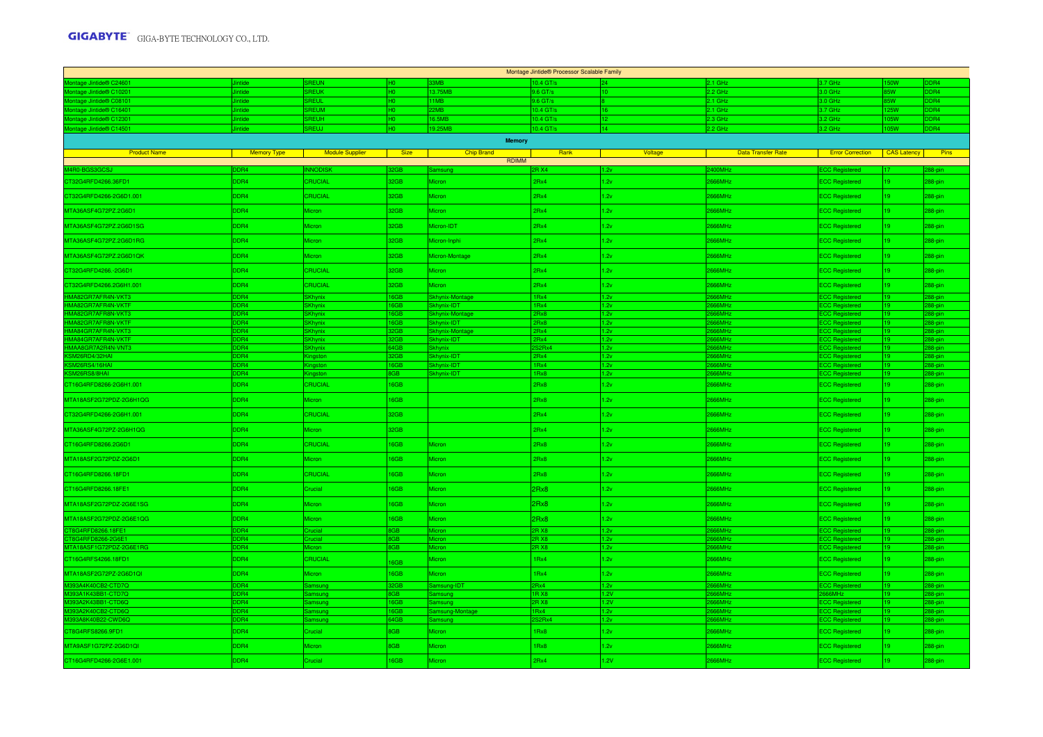| Montage Jintide® Processor Scalable Family                                                                                                                                                                                     |                                     |                                   |                 |                               |              |                 |                                    |                                                |                    |                       |  |  |
|--------------------------------------------------------------------------------------------------------------------------------------------------------------------------------------------------------------------------------|-------------------------------------|-----------------------------------|-----------------|-------------------------------|--------------|-----------------|------------------------------------|------------------------------------------------|--------------------|-----------------------|--|--|
| Montage Jintide® C24601                                                                                                                                                                                                        |                                     | REI IN                            |                 |                               | $0.4$ GT/s   |                 | 2.1 GHz                            | 1.7 GHz                                        | 50 W               |                       |  |  |
| Montage Jintide® C10201                                                                                                                                                                                                        | ntide                               | REUK                              | HO.             | 3.75MP                        | 0.6 GT/s     |                 | 2. GHz                             | .0 <sub>GHz</sub>                              | 5W                 | D <sub>R</sub>        |  |  |
| Montage Jintide® C08101                                                                                                                                                                                                        | ntide                               | REUL                              | HO.             | 1MB                           | $9.6$ GT/s   |                 | $2.1$ GHz                          | 3.0 GHz                                        | 5W                 | DDR4                  |  |  |
| Montage Jintide® C16401                                                                                                                                                                                                        | intide                              | REUM                              | HO.             | 2MB                           | 10.4 GT/s    |                 | 2.1 GHz                            | 3.7 GHz                                        | 25W                | D <sub>R4</sub>       |  |  |
| ontage Jintide® C12301                                                                                                                                                                                                         | lintide                             | <b>REUH</b>                       | $10-1$          | 16.5MB                        | 0.4 GT/s     | 12              | 2.3 GHz                            | 3.2 GHz                                        | 05W                | DDR4                  |  |  |
| Montage Jintide® C14501                                                                                                                                                                                                        | <b>Jintide</b>                      | REUJ                              | HO-             | 19.25MB                       | 10.4 GT/s    | 14 <sub>1</sub> | 2.2 GHz                            | 3.2 GHz                                        | 05W                | DDR4                  |  |  |
|                                                                                                                                                                                                                                |                                     |                                   |                 | <b>Memory</b>                 |              |                 |                                    |                                                |                    |                       |  |  |
| <b>Product Name</b>                                                                                                                                                                                                            | Memory Type                         | <b>Example 10 Module Supplier</b> | <b>Size</b>     | <b>Chip Brand</b>             | Rank         | Voltage         | <b>Data Transfer Rate</b>          | <b>Error Correction</b>                        | <b>CAS Latency</b> | <b>Pins</b>           |  |  |
|                                                                                                                                                                                                                                |                                     |                                   |                 | <b>RDIMM</b>                  |              |                 |                                    |                                                |                    |                       |  |  |
| M4R0-BGS3GCSJ                                                                                                                                                                                                                  | <b>DR4</b>                          | <b>NNODISK</b>                    | 2GB             | amsung                        | <b>RX4</b>   | 12v             | <b>2400MHz</b>                     | <b>CC Registered</b>                           |                    | 38-nin                |  |  |
| CT32G4RFD4266.36FD1                                                                                                                                                                                                            | DDR4                                | CRUCIAL                           | 32GB            | Micron                        | 2Rx4         | 1.2v            | 2666MHz                            | <b>ECC Registered</b>                          | 19.                | 288-pin               |  |  |
| CT32G4RFD4266-2G6D1.001                                                                                                                                                                                                        | DDR4                                | <b>CRUCIAL</b>                    | 32GB            | Micron                        | 2Rx4         | 1.2v            | 2666MHz                            | <b>ECC Registered</b>                          | 19.                | 288-pin               |  |  |
| MTA36ASF4G72PZ.2G6D1                                                                                                                                                                                                           | DDR4                                | Micron                            | 32GB            | licron                        | 2Rx4         | 1.2v            | 666MHz                             | <b>CC Registered</b>                           |                    | 288-pin               |  |  |
| MTA36ASF4G72PZ.2G6D1SG                                                                                                                                                                                                         | DDR4                                | Micron                            | 32GB            | Micron-IDT                    | 2Rx4         | 1.2v            | 2666MHz                            | <b>ECC Registered</b>                          | $19-19$            | 288-pin               |  |  |
| MTA36ASF4G72PZ.2G6D1RG                                                                                                                                                                                                         | DDR4                                | Micron                            | 32GB            | Micron-Inphi                  | 2Rx4         | 1.2v            | 2666MHz                            | <b>ECC Registered</b>                          |                    | 288-pin               |  |  |
| MTA36ASF4G72PZ.2G6D1QK                                                                                                                                                                                                         | DDR4                                | Micron                            | 32GB            | Micron-Montage                | 2Rx4         | 1.2v            | 2666MHz                            | <b>ECC Registered</b>                          |                    | 288-pin               |  |  |
| CT32G4RFD4266.-2G6D1                                                                                                                                                                                                           | DDR4                                | <b>CRUCIAL</b>                    | 32GB            | Micron                        | 2Rx4         | 1.2v            | 2666MHz                            | <b>ECC Registered</b>                          | 19.                | 288-pin               |  |  |
| CT32G4RFD4266.2G6H1.001                                                                                                                                                                                                        | DDR4                                | <b>CRUCIAL</b>                    | 32GB            | Micron                        | 2Rx4         | 1.2v            | 2666MHz                            | <b>ECC Registered</b>                          |                    | 288-pin               |  |  |
| UTABOR THE HARASCRIPT HAND THE HARASCRIPT HAND THAN A STATE HARASCRIPT HAND A STATE HARASCRIPT HAND A STATE HARASCRIPT HAND A STATE HAND A STATE HAND A STATE HAND A STATE HAND A STATE HAND A STATE HAND A STATE HAND A STATE | DR <sub>4</sub>                     | <b>Khynix</b>                     | 6GB             | <b>Skhynix-Montage</b>        | 1Rx4         | 1.2v            | <b>HMARR</b>                       | <b>CC Registered</b>                           |                    | 88-ni                 |  |  |
|                                                                                                                                                                                                                                | DR <sub>4</sub>                     | <b>SKhynix</b>                    | 6GB             | Skhynix-IDT                   | 1Rx4         | 1.2v            | 666MHz                             | <b>ECC Registered</b>                          |                    | 288-pin               |  |  |
|                                                                                                                                                                                                                                | DDR4<br><b>DR4</b>                  | <b>SKhynix</b><br><b>SKhyniv</b>  | 6GB<br>6GB      | Skhynix-Montag<br>Skhvnix-IDT | 2Rx8<br>2Rx8 | 1.2v<br>1.2v    | 666MHz<br><b>CHMARA</b>            | <b>ECC Registered</b><br><b>ECC Registered</b> |                    | 288-nin<br>88-nin     |  |  |
|                                                                                                                                                                                                                                | DR <sub>4</sub>                     |                                   | GB              | <b>Skhynix-Monta</b>          | Rx4          | 1.2v            | HMARS                              | C Registered                                   |                    | 88-pin                |  |  |
|                                                                                                                                                                                                                                | DR <sub>4</sub>                     | <b>SKhynix</b>                    | GB              | Skhynix-IDT                   | 2Rx4         | 1.2v            | 666MHz                             | C Registered                                   |                    | 288-pin               |  |  |
|                                                                                                                                                                                                                                | D <sub>R4</sub>                     | Khvnix                            | 84GB            | Skhynix                       | :2Rx4        | 1.2v            | 666MHz                             | CC Regis                                       |                    | 288-pin               |  |  |
|                                                                                                                                                                                                                                | ADR4                                | Kingston                          | 2GB             | Skhynix-IDT                   | 2Rx4         | 1.2v            | <b>GGGMH</b> <sub>2</sub>          | <b>ECC Registered</b>                          |                    | 288-pin               |  |  |
| KSM26RS4/16HAI                                                                                                                                                                                                                 | D <sub>R4</sub><br>DR <sub>4</sub>  | <b>naston</b>                     | 6GB             | Skhynix-IDT                   | 1Rx4         | 1.2v            | 66MH <sub>2</sub><br>66MHz         | <b>CC</b> Registered                           |                    | $288$ -pin            |  |  |
| KSM26RS8/8HAI                                                                                                                                                                                                                  |                                     | ngston                            | <b>GB</b>       | Skhynix-IDT                   | 1Rx8         | 1.2v            |                                    | <b>CC Registered</b>                           |                    | 288-pin               |  |  |
| CT16G4RFD8266-2G6H1.001                                                                                                                                                                                                        | DDR4                                | <b>CRUCIAL</b>                    | 16GB            |                               | 2Rx8         | 1.2v            | 666MHz                             | <b>ECC Registered</b>                          | 19.                | 288-pin               |  |  |
| MTA18ASF2G72PDZ-2G6H1QG                                                                                                                                                                                                        | DDR4                                | <b>Micron</b>                     | 16GB            |                               | 2Rx8         | 1.2v            | 666MHz                             | <b>ECC Registered</b>                          |                    | 288-pin               |  |  |
| CT32G4RFD4266-2G6H1.001                                                                                                                                                                                                        | DDR4                                | <b>CRUCIAL</b>                    | 32GB            |                               | 2Rx4         | 1.2v            | 2666MHz                            | <b>ECC Registered</b>                          | $19-19$            | 288-pin               |  |  |
| MTA36ASF4G72PZ-2G6H1QG                                                                                                                                                                                                         | DDR4                                | Micron                            | 32GB            |                               | 2Rx4         | 1.2v            | 2666MHz                            | <b>ECC Registered</b>                          |                    | 288-pin               |  |  |
| CT16G4RFD8266.2G6D1                                                                                                                                                                                                            | DDR4                                | <b>CRUCIAL</b>                    | 6GB             | Micron                        | 2Rx8         | 1.2v            | 2666MHz                            | <b>ECC Registered</b>                          |                    | 288-pin               |  |  |
| MTA18ASF2G72PDZ-2G6D1                                                                                                                                                                                                          | DDR4                                | Micron                            | <b>6GB</b>      | Micron                        | 2Rx8         | 1.2v            | 666MHz                             | <b>ECC Registered</b>                          |                    | 288-pin               |  |  |
| CT16G4RFD8266.18FD1                                                                                                                                                                                                            | DDR4                                | <b>CRUCIAL</b>                    | 16GB            | <b>Micron</b>                 | 2Rx8         | 1.2v            | 2666MHz                            | <b>ECC Registered</b>                          | 19                 | 288-pin               |  |  |
| CT16G4RFD8266.18FE1                                                                                                                                                                                                            | DDR4                                | Crucial                           | 16GB            | <b>Micron</b>                 | 2Rx8         | 1.2v            | 2666MHz                            | <b>ECC Registered</b>                          | $19-19$            | 288-pin               |  |  |
| MTA18ASF2G72PDZ-2G6E1SG                                                                                                                                                                                                        | DDR4                                | Micron                            | 6GB             | <b>Aicron</b>                 | 2Rx8         | 1.2v            | 666MHz                             | <b>ECC Registered</b>                          |                    | 288-pin               |  |  |
| MTA18ASF2G72PDZ-2G6E1QG                                                                                                                                                                                                        | DDR4                                | Micron                            | 6GB             | Micron                        | 2Rx8         | 1.2v            | 2666MHz                            | <b>ECC Registered</b>                          | $19-19$            | 288-pin               |  |  |
| CT8G4RFD8266.18FE1<br>CT8G4RFD8266-2G6E1                                                                                                                                                                                       | DDR <sub>4</sub><br>DR <sub>4</sub> | nicial<br>meial                   | GB<br><b>GR</b> | Micron<br>ieron               | BRX8<br>BRX8 | 1.2v<br>1.2v    | 666MHz<br><b>GGGMH<sub>7</sub></b> | <b>ECC Registered</b><br><b>CC Registered</b>  |                    | $288 - \pi$<br>88-nin |  |  |
| MTA18ASF1G72PDZ-2G6E1RG                                                                                                                                                                                                        | <b>DR4</b>                          |                                   | <b>GB</b>       |                               | <b>RX8</b>   | 1.2v            | <b>HMARS</b>                       | <b>ECC Registered</b>                          |                    | 288-pir               |  |  |
| CT16G4RFS4266.18FD1                                                                                                                                                                                                            | DDR4                                | <b>CRUCIAL</b>                    | 6GB             | Micron                        | 1Rx4         | 1.2v            | 2666MHz                            | <b>ECC Registered</b>                          | 19.                | 288-pin               |  |  |
| MTA18ASF2G72PZ-2G6D1QI                                                                                                                                                                                                         | DDR4                                | Micron                            | 6GB             | Micron                        | 1Rx4         | 1.2v            | 666MHz                             | <b>ECC Registered</b>                          |                    | 288-pin               |  |  |
| M393A4K40CB2-CTD7Q                                                                                                                                                                                                             | DDR4                                | Samsung                           | 12GB            | Samsung-IDT                   | <b>Ry4</b>   | 1.2v            | <b>GGGMH</b> <sub>2</sub>          | <b>ECC Registered</b>                          |                    | 288-pin               |  |  |
| M393A1K43BB1-CTD7Q                                                                                                                                                                                                             | DR <sub>4</sub>                     | amsung                            | GB.             | Samsung                       | IR X8        | 1.2V            | <b>SGGMH</b> <sub>2</sub>          | 666MHz                                         |                    | 288-pin               |  |  |
| M393A2K43BB1-CTD6Q                                                                                                                                                                                                             | D <sub>DR4</sub>                    | Samsung                           | 6GB             | Samsung                       | 2RX8         | 1.2V            | <b>GGGMH<sub>7</sub></b>           | <b>ECC Registered</b>                          |                    | $288-pin$             |  |  |
| M393A2K40CB2-CTD6Q                                                                                                                                                                                                             | DR4                                 |                                   | ace             | sung-Montage                  | Rx4          | 1.Ou            | <b>HAAA</b>                        | CC Registe                                     |                    | 288-pin               |  |  |
| M393A8K40B22-CWD6Q                                                                                                                                                                                                             | <b>DR4</b>                          | msuno                             | <b>34GB</b>     |                               | 32RY         | 1.2v            | <b>HMARR</b>                       | <b>CC Registered</b>                           |                    | 88-pir                |  |  |
| CT8G4RFS8266.9FD1                                                                                                                                                                                                              | DDR4                                | Crucial                           | BGB             | Micron                        | 1Rx8         | 1.2v            | 2666MHz                            | <b>ECC Registered</b>                          | $19-19$            | 288-pin               |  |  |
| MTA9ASF1G72PZ-2G6D1QI                                                                                                                                                                                                          | DDR4                                | Micron                            | BGB             | Micron                        | 1Rx8         | 1.2v            | 666MHz                             | <b>ECC Registered</b>                          |                    | 288-pin               |  |  |
| CT16G4RFD4266-2G6E1.001                                                                                                                                                                                                        | DDR4                                | Crucial                           | 6GB             | Micron                        | 2Rx4         | 1.2V            | <b>666MHz</b>                      | <b>ECC Registered</b>                          |                    | 288-pin               |  |  |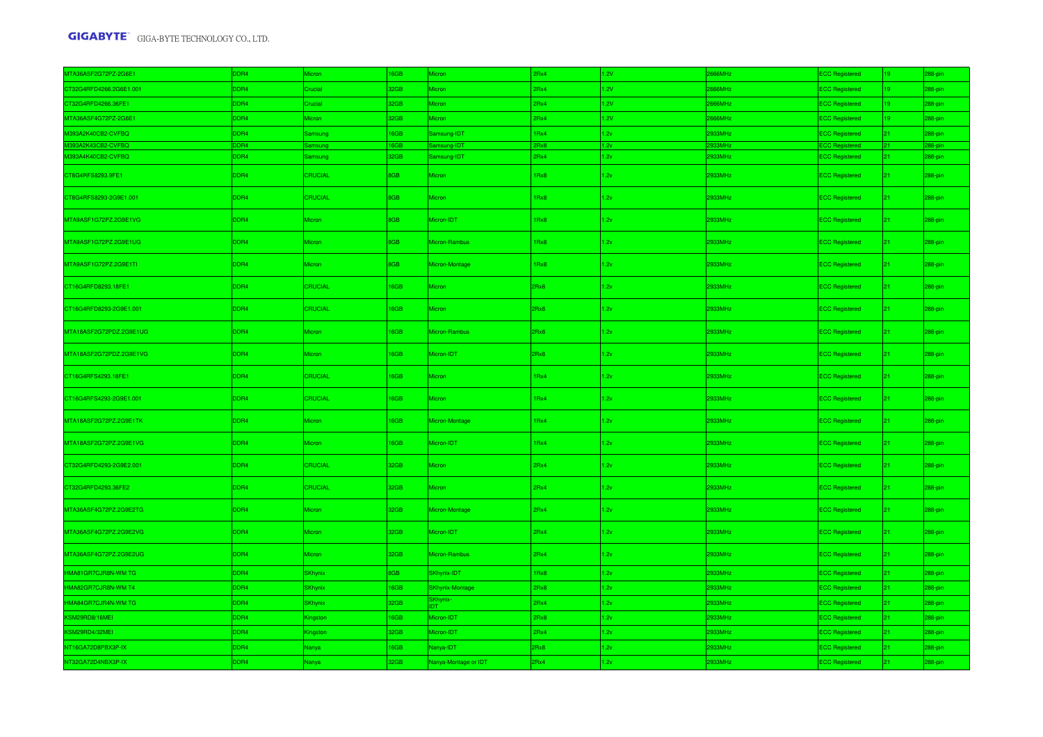| MTA36ASF2G72PZ-2G6E1    | DDR4 | <b>Aicron</b>  | 16GB | <b>Aicron</b>        | 2Rx4 | 1.2V | 2666MHz | <b>ECC Registered</b> | $19-1$          | 288-pin |
|-------------------------|------|----------------|------|----------------------|------|------|---------|-----------------------|-----------------|---------|
| CT32G4RFD4266.2G6E1.001 | DDR4 | Crucial        | 32GB | Micron               | 2Rx4 | 1.2V | 2666MHz | <b>ECC Registered</b> | $19-19$         | 288-pin |
| CT32G4RFD4266.36FE1     | DDR4 | Crucial        | 32GB | Micron               | 2Rx4 | 1.2V | 2666MHz | <b>ECC Registered</b> | $19-19$         | 288-pin |
| MTA36ASF4G72PZ-2G6E1    | DDR4 | Micron         | 32GB | Micron               | 2Rx4 | 1.2V | 2666MHz | <b>ECC Registered</b> | 19              | 288-pin |
| M393A2K40CB2-CVFBQ      | DDR4 | amsung         | 16GB | Samsung-IDT          | 1Rx4 | 1.2v | 2933MHz | <b>ECC Registered</b> | $21 -$          | 288-pin |
| M393A2K43CB2-CVFBQ      | DDR4 | <b>nsun</b>    | 16GB | msung-IDT            | 2Rx8 | 1.2v | 33MHz   | <b>ECC Regis</b>      | 21              | 288-pi  |
| M393A4K40CB2-CVFBQ      | DDR4 | Samsung        | 32GB | amsung-IDT           | 2Rx4 | 1.2v | 2933MHz | <b>ECC Registered</b> | $21 -$          | 288-pin |
| CT8G4RFS8293.9FE1       | DDR4 | <b>CRUCIAL</b> | 8GB  | Micron               | 1Rx8 | 1.2v | 2933MHz | <b>ECC Registered</b> | $21 -$          | 288-pin |
| CT8G4RFS8293-2G9E1.001  | DDR4 | CRUCIAL        | 8GB  | Micron               | 1Rx8 | 1.2v | 2933MHz | <b>ECC Registered</b> | $21 -$          | 288-pin |
| MTA9ASF1G72PZ.2G9E1VG   | DDR4 | Micron         | 8GB  | Micron-IDT           | 1Rx8 | 1.2v | 2933MHz | <b>ECC Registered</b> | 21              | 288-pin |
| MTA9ASF1G72PZ.2G9E1UG   | DDR4 | Micron         | 8GB  | Micron-Rambus        | 1Rx8 | 1.2v | 2933MHz | <b>ECC Registered</b> | $21 -$          | 288-pin |
| MTA9ASF1G72PZ.2G9E1TI   | DDR4 | <b>Micron</b>  | 8GB  | Micron-Montage       | 1Rx8 | 1.2v | 2933MHz | <b>ECC Registered</b> | $21 -$          | 288-pin |
| CT16G4RFD8293.18FE1     | DDR4 | <b>CRUCIAL</b> | 16GB | <i>Aicron</i>        | 2Rx8 | 1.2v | 2933MHz | <b>ECC Registered</b> | $21 -$          | 288-pin |
| CT16G4RFD8293-2G9E1.001 | DDR4 | <b>CRUCIAL</b> | 16GB | Micron               | 2Rx8 | 1.2v | 2933MHz | <b>ECC Registered</b> | $21 -$          | 288-pin |
| MTA18ASF2G72PDZ.2G9E1UG | DDR4 | Micron         | 16GB | Micron-Rambus        | 2Rx8 | 1.2v | 2933MHz | <b>ECC Registered</b> | 21 <sup>2</sup> | 288-pin |
| MTA18ASF2G72PDZ.2G9E1VG | DDR4 | Micron         | 16GB | Micron-IDT           | 2Rx8 | 1.2v | 2933MHz | <b>ECC Registered</b> | 21              | 288-pin |
| CT16G4RFS4293.18FE1     | DDR4 | CRUCIAL        | 16GB | Micron               | 1Rx4 | 1.2v | 2933MHz | <b>ECC Registered</b> | 21 <sup>2</sup> | 288-pin |
| CT16G4RFS4293-2G9E1.001 | DDR4 | CRUCIAL        | 16GB | Micron               | 1Rx4 | 1.2v | 2933MHz | <b>ECC Registered</b> | $21 -$          | 288-pin |
| MTA18ASF2G72PZ.2G9E1TK  | DDR4 | Micron         | 16GB | Micron-Montage       | 1Rx4 | 1.2v | 2933MHz | <b>ECC Registered</b> | $21 -$          | 288-pin |
| MTA18ASF2G72PZ.2G9E1VG  | DDR4 | Micron         | 16GB | Micron-IDT           | 1Rx4 | 1.2v | 2933MHz | <b>ECC Registered</b> | 21 <sup>2</sup> | 288-pin |
| CT32G4RFD4293-2G9E2.001 | DDR4 | <b>CRUCIAL</b> | 32GB | Micron               | 2Rx4 | 1.2v | 2933MHz | <b>ECC Registered</b> | $21 -$          | 288-pin |
| CT32G4RFD4293.36FE2     | DDR4 | CRUCIAL        | 32GB | Micron               | 2Rx4 | 1.2v | 2933MHz | <b>ECC Registered</b> | $21 -$          | 288-pin |
| MTA36ASF4G72PZ.2G9E2TG  | DDR4 | Micron         | 32GB | Micron-Montage       | 2Rx4 | 1.2v | 2933MHz | <b>ECC Registered</b> | 21              | 288-pin |
| MTA36ASF4G72PZ.2G9E2VG  | DDR4 | Micron         | 32GB | Micron-IDT           | 2Rx4 | 1.2v | 2933MHz | <b>ECC Registered</b> | $21 -$          | 288-pin |
| MTA36ASF4G72PZ.2G9E2UG  | DDR4 | <b>Micron</b>  | 32GB | Micron-Rambus        | 2Rx4 | 1.2v | 2933MHz | <b>ECC Registered</b> | 21              | 288-pin |
| HMA81GR7CJR8N-WM TG     | DDR4 | <b>SKhynix</b> | 8GB  | SKhynix-IDT          | 1Rx8 | 1.2v | 2933MHz | <b>ECC Registered</b> | $21 -$          | 288-pin |
| HMA82GR7CJR8N-WM T4     | DDR4 | <b>SKhynix</b> | 16GB | SKhynix-Montage      | 2Rx8 | 1.2v | 2933MHz | <b>ECC Registered</b> | $21 -$          | 288-pin |
| HMA84GR7CJR4N-WM TG     | DDR4 | <b>SKhynix</b> | 32GB | SKhynix-             | 2Rx4 | 1.2v | 2933MHz | <b>ECC Registered</b> | $21 -$          | 288-pin |
| KSM29RD8/16MEI          | DDR4 | Kingston       | 16GB | Micron-IDT           | 2Rx8 | 1.2v | 2933MHz | <b>ECC Registered</b> | $21 -$          | 288-pin |
| KSM29RD4/32MEI          | DDR4 | Gingston       | 32GB | Micron-IDT           | 2Rx4 | 1.2v | 2933MHz | <b>ECC Registered</b> | $21 -$          | 288-pin |
| NT16GA72D8PBX3P-IX      | DDR4 | Nanya          | 16GB | Nanya-IDT            | 2Rx8 | 1.2v | 2933MHz | <b>ECC Registered</b> | $21 -$          | 288-pin |
| NT32GA72D4NBX3P-IX      | DDR4 | Nanya          | 32GB | Nanya-Montage or IDT | 2Rx4 | 1.2v | 2933MHz | <b>ECC Registered</b> | $21 -$          | 288-pin |
|                         |      |                |      |                      |      |      |         |                       |                 |         |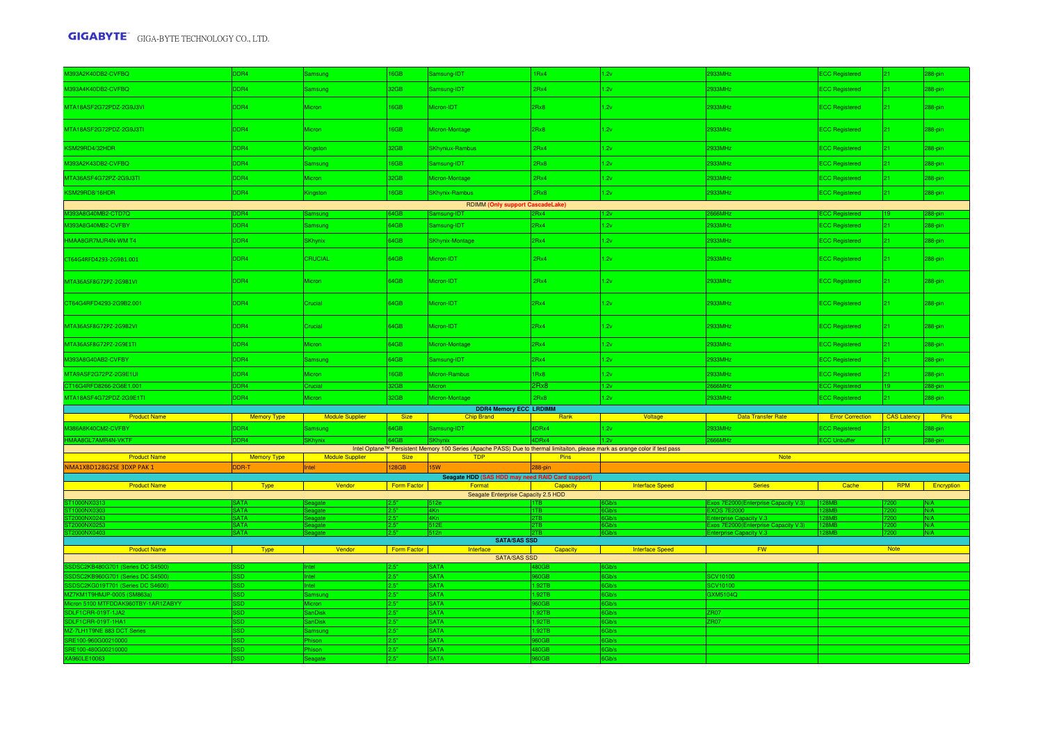| M393A2K40DB2-CVFBQ                                                 | DDR4               | Samsung                          | 16GB          | Samsung-IDT                                                                                                                  | 1Rx4            | 1.2v                   | 933MHz                                                         | <b>ECC Registered</b>               | $21 -$          | 288-pin     |  |
|--------------------------------------------------------------------|--------------------|----------------------------------|---------------|------------------------------------------------------------------------------------------------------------------------------|-----------------|------------------------|----------------------------------------------------------------|-------------------------------------|-----------------|-------------|--|
| M393A4K40DB2-CVFBQ                                                 | DR <sub>4</sub>    | Samsung                          | 32GB          | Samsung-IDT                                                                                                                  | 2Rx4            | 1.2v                   | 2933MHz                                                        | <b>ECC Registered</b>               | 21 <sub>1</sub> | 288-pin     |  |
| MTA18ASF2G72PDZ-2G9J3VI                                            | DDR4               | Micron                           | 16GB          | Micron-IDT                                                                                                                   | 2Rx8            | 1.2v                   | 2933MHz                                                        | <b>ECC Registered</b>               | 21 <sup>2</sup> | 288-pin     |  |
| MTA18ASF2G72PDZ-2G9J3TI                                            | DDR4               | Micron                           | 16GB          | Micron-Montage                                                                                                               | 2Rx8            | 1.2v                   | 2933MHz                                                        | <b>ECC Registered</b>               | $21 -$          | 288-pin     |  |
| KSM29RD4/32HDR                                                     | DDR4               | <b>Kingston</b>                  | 32GB          | <b>SKhyniux-Rambus</b>                                                                                                       | 2Rx4            | 1.2v                   | 2933MHz                                                        | <b>ECC Registered</b>               | 21 <sup>2</sup> | 288-pin     |  |
| M393A2K43DB2-CVFBQ                                                 | DDR4               | Samsung                          | 16GB          | Samsung-IDT                                                                                                                  | 2Rx8            | 1.2v                   | 2933MHz                                                        | <b>ECC Registered</b>               | $21 -$          | 288-pin     |  |
| MTA36ASF4G72PZ-2G9J3TI                                             | DDR4               | Micron                           | 32GB          | Micron-Montage                                                                                                               | 2Rx4            | 1.2v                   | 2933MHz                                                        | <b>ECC Registered</b>               | 21 <sub>1</sub> | 288-pin     |  |
| KSM29RD8/16HDR                                                     | DDR4               | Kingston                         | 16GB          | <b>SKhynix-Rambus</b>                                                                                                        | 2Rx8            | 1.2v                   | 2933MHz                                                        | <b>ECC Registered</b>               | 21 <sub>1</sub> | 288-pin     |  |
|                                                                    |                    |                                  |               | <b>RDIMM (Only support CascadeLake)</b>                                                                                      |                 |                        |                                                                |                                     |                 |             |  |
| 1393A8G40MB2-CTD7Q                                                 | DR4                | Samsung                          | 64GB          | Samsung-IDT                                                                                                                  | 2Rx4            | 1.2v                   | 66MHz                                                          | <b>CC Registered</b>                |                 | 88-pin      |  |
| M393A8G40MB2-CVFBY                                                 | DDR4               | Samsung                          | 64GB          | Samsung-IDT                                                                                                                  | 2Rx4            | 1.2v                   | 933MHz                                                         | ECC Registered                      | 21 <sup>2</sup> | 288-pin     |  |
| HMAA8GR7MJR4N-WM T4                                                | DDR4               | <b>SKhynix</b>                   | 64GB          | <b>SKhynix-Montage</b>                                                                                                       | 2Rx4            | 1.2v                   | 2933MHz                                                        | <b>ECC Registered</b>               | $21 -$          | 288-pin     |  |
| CT64G4RFD4293-2G9B1.001                                            | DDR4               | CRUCIAL                          | 64GB          | Micron-IDT                                                                                                                   | 2Rx4            | 1.2v                   | 2933MHz                                                        | <b>ECC Registered</b>               | 21 <sup>2</sup> | 288-pin     |  |
| MTA36ASF8G72PZ-2G9B1VI                                             | DDR4               | Micron                           | 64GB          | Micron-IDT                                                                                                                   | 2Rx4            | 1.2v                   | 2933MHz                                                        | <b>ECC Registered</b>               | 21 <sup>2</sup> | 288-pin     |  |
| CT64G4RFD4293-2G9B2.001                                            | DDR4               | Crucial                          | 64GB          | Micron-IDT                                                                                                                   | 2Rx4            | 1.2v                   | 2933MHz                                                        | <b>ECC Registered</b>               | 21 <sup>2</sup> | 288-pin     |  |
| MTA36ASF8G72PZ-2G9B2VI                                             | DDR4               | Crucial                          | 64GB          | Micron-IDT                                                                                                                   | 2Rx4            | 1.2v                   | 2933MHz                                                        | <b>ECC Registered</b>               | $21 -$          | 288-pin     |  |
| MTA36ASF8G72PZ-2G9E1TI                                             | DDR4               | <i>Aicron</i>                    | 64GB          | Micron-Montage                                                                                                               | 2Rx4            | 1.2v                   | 2933MHz                                                        | ECC Registered                      | $21 -$          | 288-pin     |  |
| M393A8G40AB2-CVFBY                                                 | DDR4               | <b>Samsung</b>                   | 64GB          | Samsung-IDT                                                                                                                  | 2Rx4            | 1.2v                   | 2933MHz                                                        | <b>ECC Registered</b>               | $21 -$          | 288-pin     |  |
| MTA9ASF2G72PZ-2G9E1UI                                              | DDR4               | Micron                           | 16GB          | Micron-Rambus                                                                                                                | 1Rx8            | 1.2v                   | 2933MHz                                                        | <b>ECC Registered</b>               | $21 -$          | 288-pin     |  |
| CT16G4RFD8266-2G6E1.001                                            | DR <sub>4</sub>    | Crucial                          | 32GB          | Micron                                                                                                                       | 2Rx8            | 1.2v                   | 66MHz                                                          | <b>ECC Registered</b>               |                 | 288-pin     |  |
| MTA18ASF4G72PDZ-2G9E1TI                                            | DDR4               | Micron                           | 32GB          | Micron-Montage                                                                                                               | 2Rx8            | 1.2v                   | 2933MHz                                                        | <b>ECC Registered</b>               | $21 -$          | 288-pin     |  |
|                                                                    |                    |                                  |               | <b>DDR4 Memory ECC LRDIMM</b>                                                                                                |                 |                        |                                                                |                                     |                 |             |  |
| <b>Product Name</b>                                                | Memory Type        | <b>Example 2</b> Module Supplier | <b>Size</b>   | <b>Chip Brand</b>                                                                                                            | Rank            | Voltage                | <b>Example 20 Data Transfer Rate</b>                           | <b>Error Correction</b> CAS Latency |                 | Pins        |  |
| M386A8K40CM2-CVFBY                                                 | DDR4               | Samsung                          | 64GB          | Samsung-IDT                                                                                                                  | 4DRx4           | 1.2v                   | 2933MHz                                                        | <b>ECC Registered</b>               |                 | 88-pin      |  |
| HMAA8GL7AMR4N-VKTF                                                 | DR4                | <b>SKhynix</b>                   |               | Intel Optane™ Persistent Memory 100 Series (Apache PASS) Due to thermal limitaiton, please mark as orange color if test pass |                 |                        | 666MHz                                                         | <b>ECC Unbuffer</b>                 | 117             | 288-pin     |  |
| <b>Product Name</b>                                                | Memory Type        | Module Supplier                  | Size          | <b>TDP</b>                                                                                                                   | <b>Pins</b>     | Note                   |                                                                |                                     |                 |             |  |
| NMA1XBD128G2SE 3DXP PAK 1                                          | <b>DDR-T</b>       | Intel                            | 128GB         | <b>I5W</b>                                                                                                                   | $288 - bin$     |                        |                                                                |                                     |                 |             |  |
|                                                                    |                    |                                  |               | Seagate HDD (SAS HDD may need RAID Card support)                                                                             |                 |                        |                                                                |                                     |                 |             |  |
| <b>Product Name</b>                                                | <b>Type</b>        | Vendor                           | Form Factor   | Format<br>Seagate Enterprise Capacity 2.5 HDD                                                                                | Capacity        | <b>Interface Speed</b> | <b>Series</b>                                                  | Cache                               | <b>RPM</b>      | Encryption  |  |
|                                                                    |                    |                                  |               |                                                                                                                              |                 |                        | Exos 7E2000(Enterprise Capacity V.3)                           |                                     |                 |             |  |
|                                                                    | <b>ATA</b>         |                                  | りや            | AK <sub>r</sub>                                                                                                              | <b>I1TB</b>     |                        | <b>XOS 7E2000</b>                                              |                                     |                 | N/A         |  |
| <b>ONX0243</b>                                                     | <b>ATA</b><br>SATA | Seagate<br>eagate                | 2.5"<br>2.5"  | 4Kn<br><b>512E</b>                                                                                                           | 2TB<br>2TB      | 6Gb/s<br>6Gb/s         | nterprise Capacity V.3<br>Exos 7E2000(Enterprise Capacity V.3) | <b>RMR</b><br><b>RMR</b>            |                 | N/A<br>IN/A |  |
|                                                                    | SATA               |                                  | $2.5^{\circ}$ |                                                                                                                              |                 |                        | ity V.3                                                        |                                     |                 | IN/A        |  |
|                                                                    |                    |                                  |               | <b>SATA/SAS SSD</b>                                                                                                          |                 |                        |                                                                |                                     |                 |             |  |
| <b>Product Name</b>                                                | <b>Type</b>        | Vendor<br>and the second state   | Form Factor   | Interface                                                                                                                    | Capacity        | <b>Interface Speed</b> | <b>FW</b>                                                      |                                     | <b>Note</b>     |             |  |
|                                                                    |                    |                                  |               | <b>SATA/SAS SSD</b><br><b>SATA</b>                                                                                           |                 |                        |                                                                |                                     |                 |             |  |
| SDSC2KB480G701 (Series DC S4500<br>DSC2KB960G701 (Series DC S4500) | ۹D                 |                                  |               | <b>SATA</b>                                                                                                                  |                 | Gb/s                   | CV10100                                                        |                                     |                 |             |  |
| DSC2KG019T701 (Series DC S4600)                                    | SD                 | ntel.                            | 2.5"          | <b>SATA</b>                                                                                                                  | 1.92TB          | Gb/s                   | CV10100                                                        |                                     |                 |             |  |
| Z7KM1T9HMJP-0005 (SM863a)                                          |                    | amsung                           | 2.5"          | <b>SATA</b>                                                                                                                  | 1.92TB          | Gb/s                   | 3XM5104Q                                                       |                                     |                 |             |  |
| on 5100 MTFDDAK960TBY-1AR1ZABYY                                    |                    |                                  |               | <b>SATA</b>                                                                                                                  | <b>SOGE</b>     | Gb/s                   |                                                                |                                     |                 |             |  |
| DLF1CRR-019T-1JA2                                                  |                    | <b>SanDisk</b>                   | 2.5"          | <b>SATA</b>                                                                                                                  | 1.92TB          | 6Gb/s                  | ZR07                                                           |                                     |                 |             |  |
| DLF1CRR-019T-1HA1                                                  | :SD                | <b>SanDisk</b>                   | 2.5"          | <b>SATA</b>                                                                                                                  | 1.92TB          | 6Gb/s                  | <b>7R07</b>                                                    |                                     |                 |             |  |
| Z-7LH1T9NE 883 DCT Series                                          | <b>SD</b>          | Samsung                          | 2.5"          | <b>SATA</b>                                                                                                                  | 1.92TB          | Gb/s                   |                                                                |                                     |                 |             |  |
| RE100-960G00210000                                                 |                    | <b>nison</b>                     | 2.5"          | <b>SATA</b>                                                                                                                  | 60GB            | Gb/s                   |                                                                |                                     |                 |             |  |
| RE100-480G00210000                                                 |                    | ison.                            | 2 5"          | <b>SATA</b>                                                                                                                  | ROGB            | Gb/s                   |                                                                |                                     |                 |             |  |
| A960LE10063                                                        |                    | eagate                           | 2.5"          | <b>SATA</b>                                                                                                                  | 0 <sub>GB</sub> | Gb/s                   |                                                                |                                     |                 |             |  |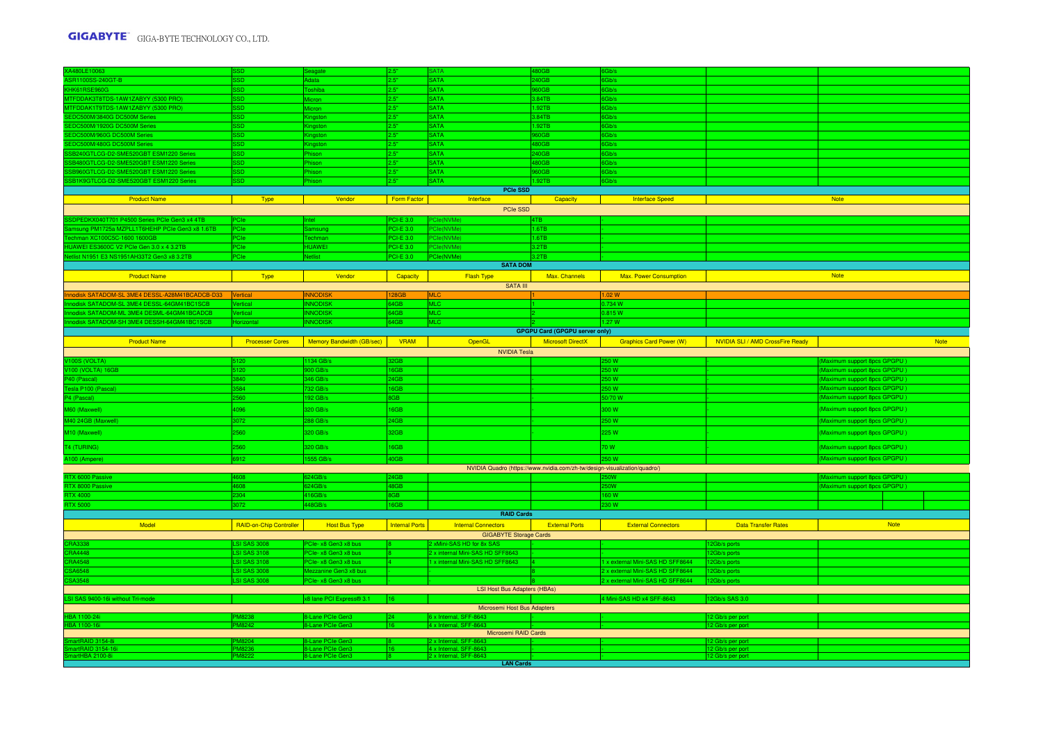| XA480LE10063                                                                                      |                                    |                                             | 2.5"                          | SATA                                                          | 30GB                                                                      | Gb/s                             |                                         |                              |             |
|---------------------------------------------------------------------------------------------------|------------------------------------|---------------------------------------------|-------------------------------|---------------------------------------------------------------|---------------------------------------------------------------------------|----------------------------------|-----------------------------------------|------------------------------|-------------|
| ASR1100SS-240GT-B                                                                                 | ien.                               | data                                        | 2.5"                          | <b>SATA</b>                                                   | 240GB                                                                     | Gb/s                             |                                         |                              |             |
| KHK61RSE960G                                                                                      |                                    | oshiba                                      | 2.5"                          | <b>SATA</b>                                                   | 0GF                                                                       | Gb/s                             |                                         |                              |             |
| MTFDDAK3T8TDS-1AW1ZABYY (5300 PRO)                                                                | ssn                                | <b>licron</b>                               | 2.5"                          | <b>SATA</b>                                                   | 8.84TB                                                                    | 6Gb/s                            |                                         |                              |             |
| <b>ITFDDAK1T9TDS-1AW1ZABYY (5300 PRO)</b>                                                         |                                    | licron                                      | 2.5"                          | <b>SATA</b>                                                   | $.92$ TE                                                                  | Gb/s                             |                                         |                              |             |
| EDC500M/3840G DC500M Serie                                                                        |                                    |                                             | 2.5"                          | <b>SATA</b>                                                   | 3.84TB                                                                    | Gb/s                             |                                         |                              |             |
| EDC500M/1920G DC500M Series                                                                       | <b>SD</b>                          | Kingston                                    | 2.5"                          | <b>SATA</b>                                                   | .92TB                                                                     | 6Gb/s                            |                                         |                              |             |
| SEDC500M/960G DC500M Series                                                                       | SSD.                               | Gingston                                    | 2.5"                          | <b>SATA</b>                                                   | <b>60GE</b>                                                               | 6Gb/s                            |                                         |                              |             |
| SEDC500M/480G DC500M Series                                                                       | asn.                               | Gingston                                    | 2.5"                          | <b>SATA</b>                                                   | 80GB                                                                      | 6Gb/s                            |                                         |                              |             |
| SB240GTLCG-D2-SME520GBT ESM1220 Series                                                            | <b>SSD</b>                         | hison                                       | 2.5"                          | <b>SATA</b>                                                   | 240GB                                                                     | Gb/s                             |                                         |                              |             |
| SB480GTLCG-D2-SME520GBT ESM1220 Series                                                            | ssn                                | hison                                       | 2.5"                          | <b>SATA</b>                                                   | 80GB                                                                      | 6Gb/s                            |                                         |                              |             |
| B960GTLCG-D2-SME520GBT ESM1220 Series<br>SB1K9GTLCG-D2-SME520GBT ESM1220 Series                   | <b>SD</b><br><b>GSS</b>            | hison<br>hison                              | 2.5"<br>2.5"                  | SATA<br><b>SATA</b>                                           | 0 <sub>GF</sub><br>1.92TB                                                 | Gb/s<br>6Gb/s                    |                                         |                              |             |
|                                                                                                   |                                    |                                             |                               |                                                               |                                                                           |                                  |                                         |                              |             |
| <b>Product Name</b>                                                                               | <b>Type</b>                        | Vendor                                      | Form Factor                   | <b>PCIe SSD</b><br>Interface                                  | Capacity                                                                  | <b>Interface Speed</b>           |                                         | <b>Note</b>                  |             |
|                                                                                                   |                                    |                                             |                               | PCIe SSD                                                      |                                                                           |                                  |                                         |                              |             |
|                                                                                                   |                                    |                                             |                               |                                                               |                                                                           |                                  |                                         |                              |             |
| SDPEDKX040T701 P4500 Series PCIe Gen3 x4 4TB<br>ng PM1725a MZPLL1T6HEHP PCIe Gen3 x8 1.6TB        |                                    |                                             | $CI-F3.0$<br><b>PCI-E 3.0</b> | Cle(NVMe)<br>Cle/NVMe                                         | 1.6TB                                                                     |                                  |                                         |                              |             |
|                                                                                                   |                                    |                                             |                               |                                                               |                                                                           |                                  |                                         |                              |             |
| hman XC100C5C-1600 1600GB<br>UAWEI ES3600C V2 PCIe Gen 3.0 x 4 3.2TB                              | PCIe                               | echmar<br><b>IUAWEI</b>                     | CI-E 3.0<br>CI-E 3.0          | <sup>2</sup> Cle(NVMe)<br>PCIe(NVMe)                          | 1.6TB<br>3.2TB                                                            |                                  |                                         |                              |             |
| tlist N1951 E3 NS1951AH33T2 Gen3 x8 3.2TB                                                         |                                    | etlist                                      | PCI-E 3.0                     | PCle(NVMe)                                                    | 3.2TB                                                                     |                                  |                                         |                              |             |
|                                                                                                   |                                    |                                             |                               | <b>SATA DOM</b>                                               |                                                                           |                                  |                                         |                              |             |
|                                                                                                   |                                    |                                             |                               |                                                               |                                                                           |                                  |                                         | <b>Note</b>                  |             |
| <b>Product Name</b>                                                                               | <b>Type</b>                        | Vendor                                      | Capacity                      | <b>Flash Type</b>                                             | Max. Channels                                                             | <b>Max. Power Consumption</b>    |                                         |                              |             |
|                                                                                                   |                                    |                                             |                               | <b>SATA III</b>                                               |                                                                           |                                  |                                         |                              |             |
| nodisk SATADOM-SL 3ME4 DESSL-A28M41BCADCB-D33 Vertical<br>disk SATADOM-SL 3ME4 DESSL-64GM41BC1SCB | ertical                            | <b>INNODISK</b><br><b>NNODISK</b>           | 128GB<br>64GB                 | <b>IMLC</b><br><b>MLC</b>                                     |                                                                           | 1.02 W<br>0.734 W                |                                         |                              |             |
| odisk SATADOM-ML 3ME4 DESML-64GM41BCADCB                                                          | <b>rtical</b>                      | <b>NNODISK</b>                              | 64GB                          | MLC                                                           |                                                                           | 0.815W                           |                                         |                              |             |
| odisk SATADOM-SH 3ME4 DESSH-64GM41BC1SCB                                                          |                                    | <b>INODI</b>                                | 64GB                          | <b>MLC</b>                                                    |                                                                           | 1.27 W                           |                                         |                              |             |
|                                                                                                   |                                    |                                             |                               |                                                               | <b>GPGPU Card (GPGPU server only)</b>                                     |                                  |                                         |                              |             |
| <b>Product Name</b>                                                                               | <b>Processer Cores</b>             | <b>Memory Bandwidth (GB/sec)</b>            | <b>VRAM</b>                   | OpenGL                                                        | <b>Microsoft DirectX</b>                                                  | <b>Graphics Card Power (W)</b>   | <b>NVIDIA SLI / AMD CrossFire Ready</b> |                              | <b>Note</b> |
|                                                                                                   |                                    |                                             |                               | <b>NVIDIA Tesla</b>                                           |                                                                           |                                  |                                         |                              |             |
| V100S (VOLTA)                                                                                     | 5120                               | 134 GB/s                                    | <b>PGB</b>                    |                                                               |                                                                           | 50 W                             |                                         | (Maximum support 8pcs GPGPU) |             |
| V100 (VOLTA) 16GB                                                                                 | 5120                               | 00 GB/s                                     | 6GB                           |                                                               |                                                                           | 50 W                             |                                         | (Maximum support 8pcs GPGPU) |             |
| P40 (Pascal)                                                                                      | 3840                               | 346 GB/s                                    | 24GB                          |                                                               |                                                                           | 50W                              |                                         | (Maximum support 8pcs GPGPU) |             |
| esla P100 (Pascal)                                                                                | 1584                               | 32 GB/s                                     | 6GB                           |                                                               |                                                                           | 50 W                             |                                         | (Maximum support 8pcs GPGPU) |             |
| P4 (Pascal)                                                                                       | 560                                | 92 GB/s                                     | 8GB                           |                                                               |                                                                           | 50/70 W                          |                                         | (Maximum support 8pcs GPGPU) |             |
|                                                                                                   |                                    | 320 GB/s                                    | 16GB                          |                                                               |                                                                           | 300W                             |                                         |                              |             |
| M60 (Maxwell)                                                                                     | 4096                               |                                             |                               |                                                               |                                                                           |                                  |                                         | (Maximum support 8pcs GPGPU) |             |
| 40 24GB (Maxwell)                                                                                 | 3072                               | 288 GB/s                                    | 24GB                          |                                                               |                                                                           | 250 W                            |                                         | (Maximum support 8pcs GPGPU) |             |
| M10 (Maxwell)                                                                                     | 2560                               | 320 GB/s                                    | 32GB                          |                                                               |                                                                           | 225 W                            |                                         | (Maximum support 8pcs GPGPU) |             |
|                                                                                                   | 2560                               | 320 GB/s                                    | 16GB                          |                                                               |                                                                           | 70 W                             |                                         | (Maximum support 8pcs GPGPU) |             |
| T4 (TURING)                                                                                       |                                    |                                             |                               |                                                               |                                                                           |                                  |                                         |                              |             |
| A100 (Ampere)                                                                                     | 6912                               | 555 GB/s                                    | 40GB                          |                                                               |                                                                           | 50 W                             |                                         | (Maximum support 8pcs GPGPU) |             |
|                                                                                                   |                                    |                                             |                               |                                                               | NVIDIA Quadro (https://www.nvidia.com/zh-tw/design-visualization/quadro/) |                                  |                                         |                              |             |
| RTX 6000 Passive                                                                                  | 1608                               | 24GB/s                                      | 24GB                          |                                                               |                                                                           |                                  |                                         | Maximum support 8pcs GPGPU)  |             |
| RTX 8000 Passive<br><b>RTX 4000</b>                                                               | 4608<br>2304                       | 324GB/s<br>416GB/s                          | 48GB<br>8GB                   |                                                               |                                                                           | 250W                             |                                         | (Maximum support 8pcs GPGPU) |             |
| <b>RTX 5000</b>                                                                                   | 3072                               | 448GB/s                                     | 16GB                          |                                                               |                                                                           | 160 W<br>230 W                   |                                         |                              |             |
|                                                                                                   |                                    |                                             |                               | <b>RAID Cards</b>                                             |                                                                           |                                  |                                         |                              |             |
|                                                                                                   |                                    |                                             |                               |                                                               |                                                                           |                                  |                                         |                              |             |
| Model                                                                                             | <b>RAID-on-Chip Controller</b>     | <b>Host Bus Type</b>                        | <b>Internal Ports</b>         | <b>Internal Connectors</b>                                    | <b>External Ports</b>                                                     | <b>External Connectors</b>       | <b>Data Transfer Rates</b>              | <b>Note</b>                  |             |
|                                                                                                   |                                    |                                             |                               | <b>GIGABYTE Storage Cards</b>                                 |                                                                           |                                  |                                         |                              |             |
| RA3338<br>RA4448                                                                                  | <b>LSI SAS 3008</b><br>SI SAS 3108 | PCIe- x8 Gen3 x8 bus<br>Cle- x8 Gen3 x8 bus |                               | 2 xMini-SAS HD for 8x SAS<br>2 x internal Mini-SAS HD SFF8643 |                                                                           |                                  | 2Gb/s ports                             |                              |             |
| RA4548                                                                                            | <b>SI SAS 3108</b>                 | Cle- x8 Gen3 x8 bus                         |                               | 1 x internal Mini-SAS HD SFF8643                              |                                                                           | 1 x external Mini-SAS HD SFF8644 | 2Gb/s ports<br>2Gb/s ports              |                              |             |
| SA6548                                                                                            | SI SAS 3008                        | lezzanine Gen3 x8 bus                       |                               |                                                               |                                                                           | 2 x external Mini-SAS HD SFF8644 | Gb/s ports                              |                              |             |
| SA3548                                                                                            | <b>LSI SAS 3008</b>                | PCIe- x8 Gen3 x8 bus                        |                               |                                                               |                                                                           | 2 x external Mini-SAS HD SFF8644 | 2Gb/s ports                             |                              |             |
|                                                                                                   |                                    |                                             |                               | <b>LSI Host Bus Adapters (HBAs)</b>                           |                                                                           |                                  |                                         |                              |             |
| SI SAS 9400-16i without Tri-mode                                                                  |                                    | x8 lane PCI Express® 3.1                    |                               |                                                               |                                                                           | 4 Mini-SAS HD x4 SFF-8643        | 2Gb/s SAS 3.0                           |                              |             |
|                                                                                                   |                                    |                                             |                               | Microsemi Host Bus Adapters                                   |                                                                           |                                  |                                         |                              |             |
| <b>BA 1100-24i</b>                                                                                | M8238                              | 8-Lane PCIe Gen3                            | 24                            | 6 x Internal, SFF-8643                                        |                                                                           |                                  | 12 Gb/s per port                        |                              |             |
| BA 1100-16i                                                                                       | <b>PM8242</b>                      | 8-Lane PCIe Gen3                            | 116.                          | 4 x Internal, SFF-8643                                        |                                                                           |                                  | 12 Gb/s per port                        |                              |             |
|                                                                                                   |                                    |                                             |                               | Microsemi RAID Cards                                          |                                                                           |                                  |                                         |                              |             |
| 8AID 3154-8i                                                                                      |                                    |                                             |                               |                                                               |                                                                           |                                  |                                         |                              |             |
|                                                                                                   |                                    | -Lane P                                     |                               | 2 x Internal, SFF-864                                         |                                                                           |                                  | 2 Gb/s per por                          |                              |             |
| artRAID 3154-16i<br><b>IHBA 2100-</b>                                                             |                                    | 8-Lane PCIe Gen3                            |                               | 4 x Internal, SFF-8643<br>2 x Internal, SFF-8643              |                                                                           |                                  | 12 Gb/s per port                        |                              |             |